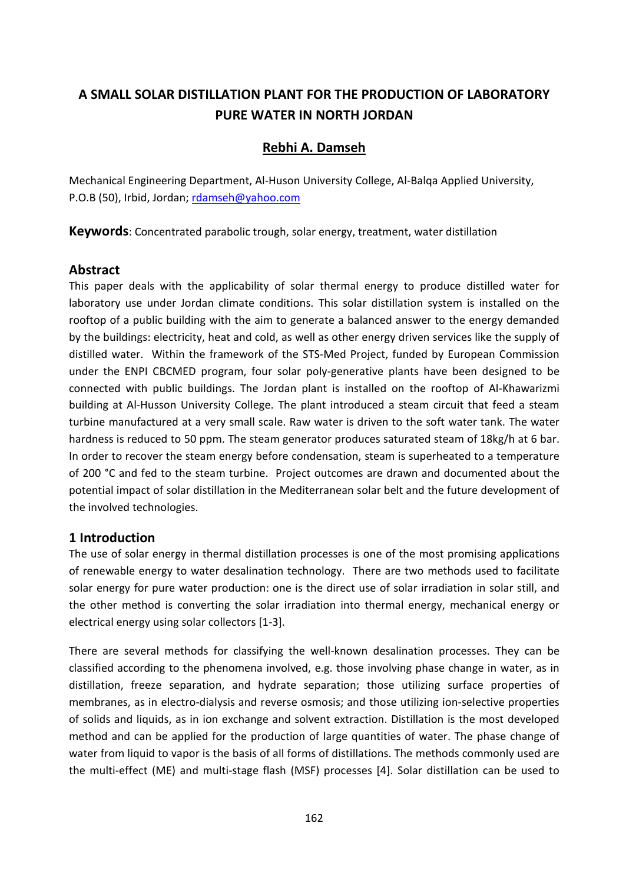# **A SMALL SOLAR DISTILLATION PLANT FOR THE PRODUCTION OF LABORATORY PURE WATER IN NORTH JORDAN**

## **Rebhi A. Damseh**

Mechanical Engineering Department, Al-Huson University College, Al-Balqa Applied University, P.O.B (50), Irbid, Jordan; [rdamseh@yahoo.com](mailto:rdamseh@yahoo.com)

**Keywords**: Concentrated parabolic trough, solar energy, treatment, water distillation

## **Abstract**

This paper deals with the applicability of solar thermal energy to produce distilled water for laboratory use under Jordan climate conditions. This solar distillation system is installed on the rooftop of a public building with the aim to generate a balanced answer to the energy demanded by the buildings: electricity, heat and cold, as well as other energy driven services like the supply of distilled water. Within the framework of the STS-Med Project, funded by European Commission under the ENPI CBCMED program, four solar poly-generative plants have been designed to be connected with public buildings. The Jordan plant is installed on the rooftop of Al-Khawarizmi building at Al-Husson University College. The plant introduced a steam circuit that feed a steam turbine manufactured at a very small scale. Raw water is driven to the soft water tank. The water hardness is reduced to 50 ppm. The steam generator produces saturated steam of 18kg/h at 6 bar. In order to recover the steam energy before condensation, steam is superheated to a temperature of 200 °C and fed to the steam turbine. Project outcomes are drawn and documented about the potential impact of solar distillation in the Mediterranean solar belt and the future development of the involved technologies.

# **1 Introduction**

The use of solar energy in thermal distillation processes is one of the most promising applications of renewable energy to water desalination technology. There are two methods used to facilitate solar energy for pure water production: one is the direct use of solar irradiation in solar still, and the other method is converting the solar irradiation into thermal energy, mechanical energy or electrical energy using solar collectors [1-3].

There are several methods for classifying the well-known desalination processes. They can be classified according to the phenomena involved, e.g. those involving phase change in water, as in distillation, freeze separation, and hydrate separation; those utilizing surface properties of membranes, as in electro-dialysis and reverse osmosis; and those utilizing ion-selective properties of solids and liquids, as in ion exchange and solvent extraction. Distillation is the most developed method and can be applied for the production of large quantities of water. The phase change of water from liquid to vapor is the basis of all forms of distillations. The methods commonly used are the multi-effect (ME) and multi-stage flash (MSF) processes [4]. Solar distillation can be used to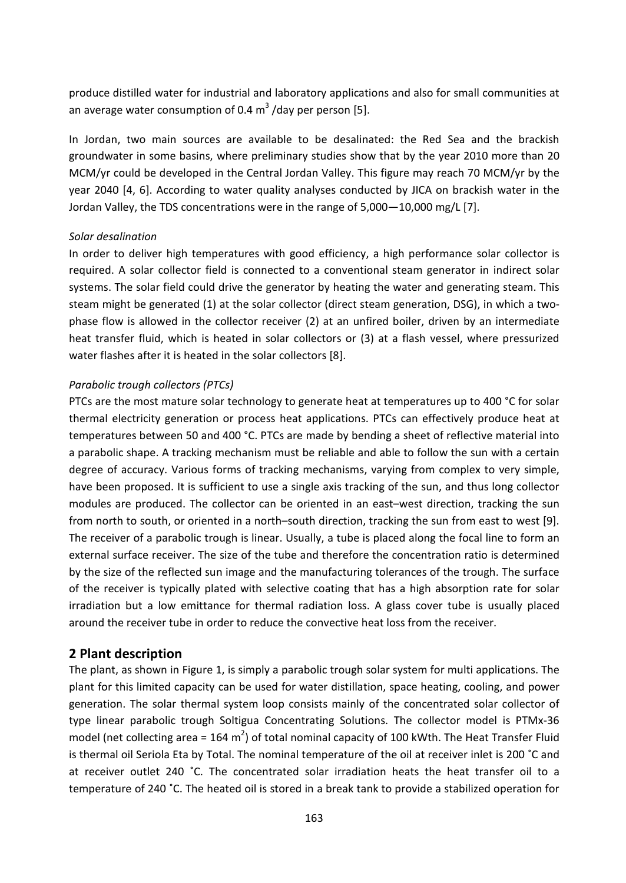produce distilled water for industrial and laboratory applications and also for small communities at an average water consumption of 0.4  $m^3$  /day per person [5].

In Jordan, two main sources are available to be desalinated: the Red Sea and the brackish groundwater in some basins, where preliminary studies show that by the year 2010 more than 20 MCM/yr could be developed in the Central Jordan Valley. This figure may reach 70 MCM/yr by the year 2040 [4, 6]. According to water quality analyses conducted by JICA on brackish water in the Jordan Valley, the TDS concentrations were in the range of 5,000—10,000 mg/L [7].

#### *Solar desalination*

In order to deliver high temperatures with good efficiency, a high performance solar collector is required. A solar collector field is connected to a conventional steam generator in indirect solar systems. The solar field could drive the generator by heating the water and generating steam. This steam might be generated (1) at the solar collector (direct steam generation, DSG), in which a twophase flow is allowed in the collector receiver (2) at an unfired boiler, driven by an intermediate heat transfer fluid, which is heated in solar collectors or (3) at a flash vessel, where pressurized water flashes after it is heated in the solar collectors [8].

#### *Parabolic trough collectors (PTCs)*

PTCs are the most mature solar technology to generate heat at temperatures up to 400 °C for solar thermal electricity generation or process heat applications. PTCs can effectively produce heat at temperatures between 50 and 400 °C. PTCs are made by bending a sheet of reflective material into a parabolic shape. A tracking mechanism must be reliable and able to follow the sun with a certain degree of accuracy. Various forms of tracking mechanisms, varying from complex to very simple, have been proposed. It is sufficient to use a single axis tracking of the sun, and thus long collector modules are produced. The collector can be oriented in an east–west direction, tracking the sun from north to south, or oriented in a north–south direction, tracking the sun from east to west [9]. The receiver of a parabolic trough is linear. Usually, a tube is placed along the focal line to form an external surface receiver. The size of the tube and therefore the concentration ratio is determined by the size of the reflected sun image and the manufacturing tolerances of the trough. The surface of the receiver is typically plated with selective coating that has a high absorption rate for solar irradiation but a low emittance for thermal radiation loss. A glass cover tube is usually placed around the receiver tube in order to reduce the convective heat loss from the receiver.

#### **2 Plant description**

The plant, as shown in Figure 1, is simply a parabolic trough solar system for multi applications. The plant for this limited capacity can be used for water distillation, space heating, cooling, and power generation. The solar thermal system loop consists mainly of the concentrated solar collector of type linear parabolic trough Soltigua Concentrating Solutions. The collector model is PTMx-36 model (net collecting area = 164 m<sup>2</sup>) of total nominal capacity of 100 kWth. The Heat Transfer Fluid is thermal oil Seriola Eta by Total. The nominal temperature of the oil at receiver inlet is 200 ˚C and at receiver outlet 240 ˚C. The concentrated solar irradiation heats the heat transfer oil to a temperature of 240 ˚C. The heated oil is stored in a break tank to provide a stabilized operation for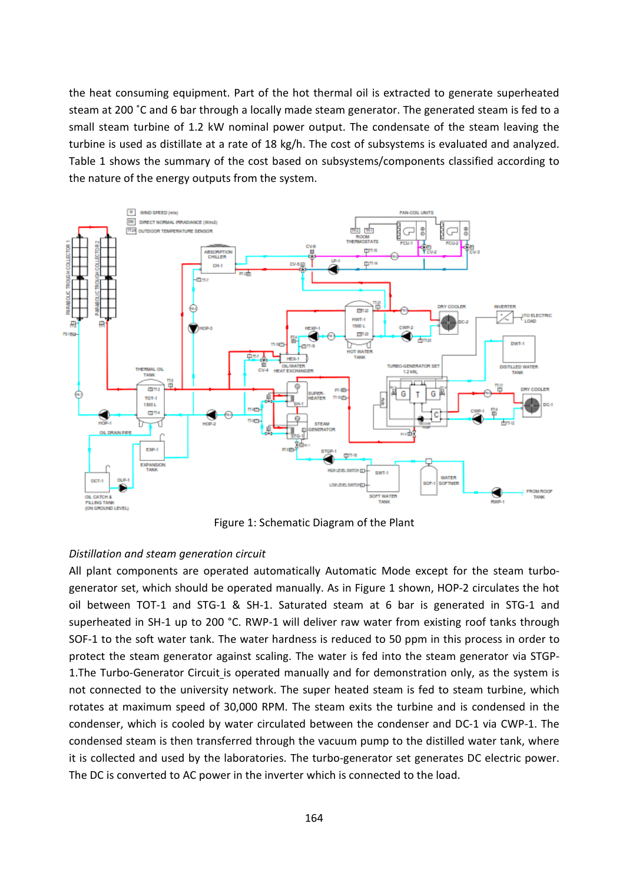the heat consuming equipment. Part of the hot thermal oil is extracted to generate superheated steam at 200 ˚C and 6 bar through a locally made steam generator. The generated steam is fed to a small steam turbine of 1.2 kW nominal power output. The condensate of the steam leaving the turbine is used as distillate at a rate of 18 kg/h. The cost of subsystems is evaluated and analyzed. Table 1 shows the summary of the cost based on subsystems/components classified according to the nature of the energy outputs from the system.



Figure 1: Schematic Diagram of the Plant

#### *Distillation and steam generation circuit*

All plant components are operated automatically Automatic Mode except for the steam turbogenerator set, which should be operated manually. As in Figure 1 shown, HOP-2 circulates the hot oil between TOT-1 and STG-1 & SH-1. Saturated steam at 6 bar is generated in STG-1 and superheated in SH-1 up to 200 °C. RWP-1 will deliver raw water from existing roof tanks through SOF-1 to the soft water tank. The water hardness is reduced to 50 ppm in this process in order to protect the steam generator against scaling. The water is fed into the steam generator via STGP-1.The Turbo-Generator Circuit is operated manually and for demonstration only, as the system is not connected to the university network. The super heated steam is fed to steam turbine, which rotates at maximum speed of 30,000 RPM. The steam exits the turbine and is condensed in the condenser, which is cooled by water circulated between the condenser and DC-1 via CWP-1. The condensed steam is then transferred through the vacuum pump to the distilled water tank, where it is collected and used by the laboratories. The turbo-generator set generates DC electric power. The DC is converted to AC power in the inverter which is connected to the load.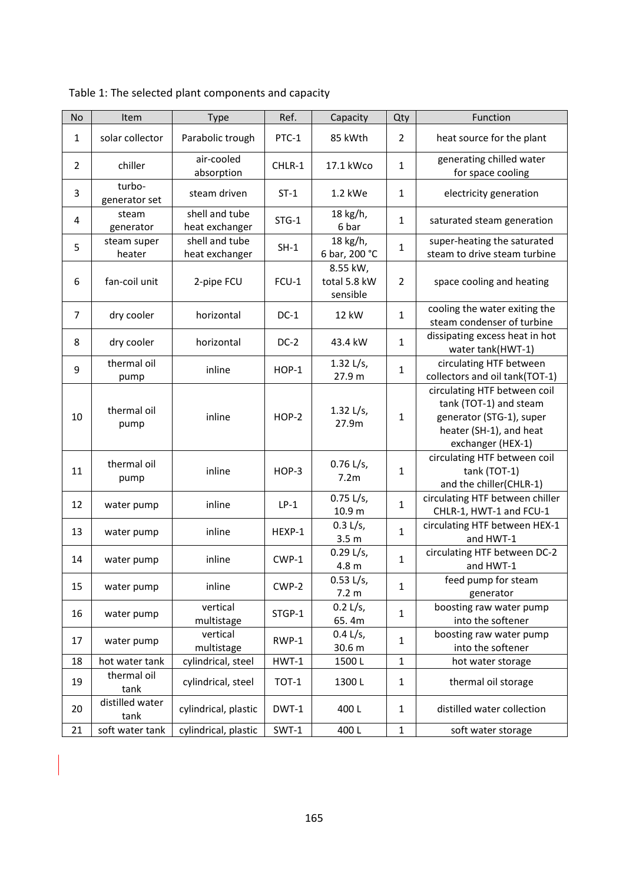| <b>No</b>      | Item                    | <b>Type</b>                      | Ref.         | Capacity                             | Qty            | Function                                                                                                                           |
|----------------|-------------------------|----------------------------------|--------------|--------------------------------------|----------------|------------------------------------------------------------------------------------------------------------------------------------|
| $\mathbf{1}$   | solar collector         | Parabolic trough                 | PTC-1        | 85 kWth                              | $\overline{2}$ | heat source for the plant                                                                                                          |
| $\overline{2}$ | chiller                 | air-cooled<br>absorption         | CHLR-1       | 17.1 kWco                            | $\mathbf{1}$   | generating chilled water<br>for space cooling                                                                                      |
| 3              | turbo-<br>generator set | steam driven                     | $ST-1$       | 1.2 kWe                              | $\mathbf{1}$   | electricity generation                                                                                                             |
| 4              | steam<br>generator      | shell and tube<br>heat exchanger | $STG-1$      | 18 kg/h,<br>6 bar                    | $\mathbf 1$    | saturated steam generation                                                                                                         |
| 5              | steam super<br>heater   | shell and tube<br>heat exchanger | $SH-1$       | 18 kg/h,<br>6 bar, 200 °C            | $\mathbf 1$    | super-heating the saturated<br>steam to drive steam turbine                                                                        |
| 6              | fan-coil unit           | 2-pipe FCU                       | $FCU-1$      | 8.55 kW,<br>total 5.8 kW<br>sensible | $\overline{2}$ | space cooling and heating                                                                                                          |
| 7              | dry cooler              | horizontal                       | $DC-1$       | 12 kW                                | $\mathbf 1$    | cooling the water exiting the<br>steam condenser of turbine                                                                        |
| 8              | dry cooler              | horizontal                       | $DC-2$       | 43.4 kW                              | $\mathbf{1}$   | dissipating excess heat in hot<br>water tank(HWT-1)                                                                                |
| 9              | thermal oil<br>pump     | inline                           | HOP-1        | 1.32 $L/s$ ,<br>27.9 m               | $\mathbf 1$    | circulating HTF between<br>collectors and oil tank(TOT-1)                                                                          |
| 10             | thermal oil<br>pump     | inline                           | HOP-2        | 1.32 $L/s$ ,<br>27.9m                | $\mathbf{1}$   | circulating HTF between coil<br>tank (TOT-1) and steam<br>generator (STG-1), super<br>heater (SH-1), and heat<br>exchanger (HEX-1) |
| 11             | thermal oil<br>pump     | inline                           | HOP-3        | $0.76$ L/s,<br>7.2m                  | $\mathbf{1}$   | circulating HTF between coil<br>tank (TOT-1)<br>and the chiller(CHLR-1)                                                            |
| 12             | water pump              | inline                           | $LP-1$       | $0.75 L/s$ ,<br>10.9 m               | $\mathbf{1}$   | circulating HTF between chiller<br>CHLR-1, HWT-1 and FCU-1                                                                         |
| 13             | water pump              | inline                           | HEXP-1       | 0.3 L/s,<br>3.5 <sub>m</sub>         | $\mathbf{1}$   | circulating HTF between HEX-1<br>and HWT-1                                                                                         |
| 14             | water pump              | inline                           | CWP-1        | 0.29 L/s,<br>4.8 m                   | $\mathbf 1$    | circulating HTF between DC-2<br>and HWT-1                                                                                          |
| 15             | water pump              | inline                           | CWP-2        | 0.53 L/s,<br>7.2 m                   | $\mathbf{1}$   | feed pump for steam<br>generator                                                                                                   |
| 16             | water pump              | vertical<br>multistage           | STGP-1       | 0.2 L/s,<br>65.4m                    | $\mathbf{1}$   | boosting raw water pump<br>into the softener                                                                                       |
| 17             | water pump              | vertical<br>multistage           | RWP-1        | 0.4 L/s,<br>30.6 m                   | $\mathbf{1}$   | boosting raw water pump<br>into the softener                                                                                       |
| 18             | hot water tank          | cylindrical, steel               | HWT-1        | 1500L                                | $\mathbf 1$    | hot water storage                                                                                                                  |
| 19             | thermal oil<br>tank     | cylindrical, steel               | <b>TOT-1</b> | 1300L                                | $\mathbf 1$    | thermal oil storage                                                                                                                |
| 20             | distilled water<br>tank | cylindrical, plastic             | DWT-1        | 400L                                 | 1              | distilled water collection                                                                                                         |
| 21             | soft water tank         | cylindrical, plastic             | SWT-1        | 400L                                 | $\mathbf{1}$   | soft water storage                                                                                                                 |

Table 1: The selected plant components and capacity

 $\overline{\phantom{a}}$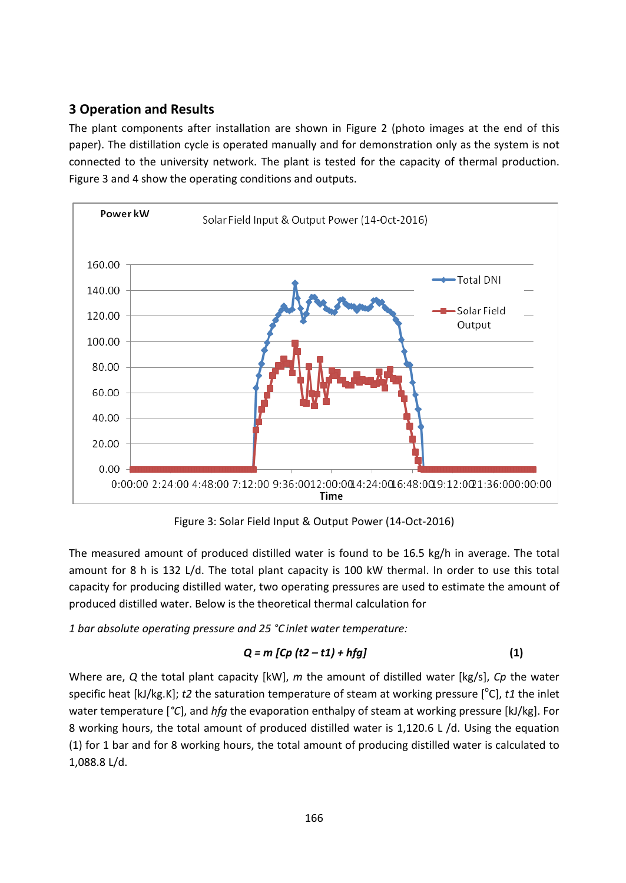# **3 Operation and Results**

The plant components after installation are shown in Figure 2 (photo images at the end of this paper). The distillation cycle is operated manually and for demonstration only as the system is not connected to the university network. The plant is tested for the capacity of thermal production. Figure 3 and 4 show the operating conditions and outputs.



Figure 3: Solar Field Input & Output Power (14-Oct-2016)

The measured amount of produced distilled water is found to be 16.5 kg/h in average. The total amount for 8 h is 132 L/d. The total plant capacity is 100 kW thermal. In order to use this total capacity for producing distilled water, two operating pressures are used to estimate the amount of produced distilled water. Below is the theoretical thermal calculation for

*1 bar absolute operating pressure and 25 °C inlet water temperature:*

$$
Q = m [Cp (t2 - t1) + hfg]
$$
 (1)

Where are, *Q* the total plant capacity [kW], *m* the amount of distilled water [kg/s], *Cp* the water specific heat [kJ/kg.K]; *t2* the saturation temperature of steam at working pressure [<sup>o</sup>C], *t1* the inlet water temperature [*°C*], and *hfg* the evaporation enthalpy of steam at working pressure [kJ/kg]. For 8 working hours, the total amount of produced distilled water is 1,120.6 L /d. Using the equation (1) for 1 bar and for 8 working hours, the total amount of producing distilled water is calculated to 1,088.8 L/d.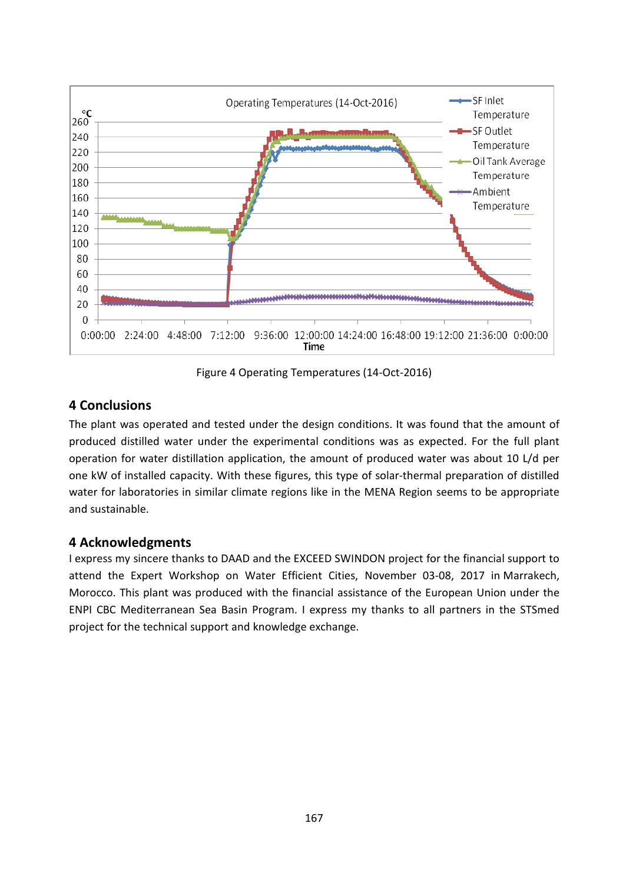

Figure 4 Operating Temperatures (14-Oct-2016)

# **4 Conclusions**

The plant was operated and tested under the design conditions. It was found that the amount of produced distilled water under the experimental conditions was as expected. For the full plant operation for water distillation application, the amount of produced water was about 10 L/d per one kW of installed capacity. With these figures, this type of solar-thermal preparation of distilled water for laboratories in similar climate regions like in the MENA Region seems to be appropriate and sustainable.

# **4 Acknowledgments**

I express my sincere thanks to DAAD and the EXCEED SWINDON project for the financial support to attend the Expert Workshop on Water Efficient Cities, November 03-08, 2017 in Marrakech, Morocco. This plant was produced with the financial assistance of the European Union under the ENPI CBC Mediterranean Sea Basin Program. I express my thanks to all partners in the STSmed project for the technical support and knowledge exchange.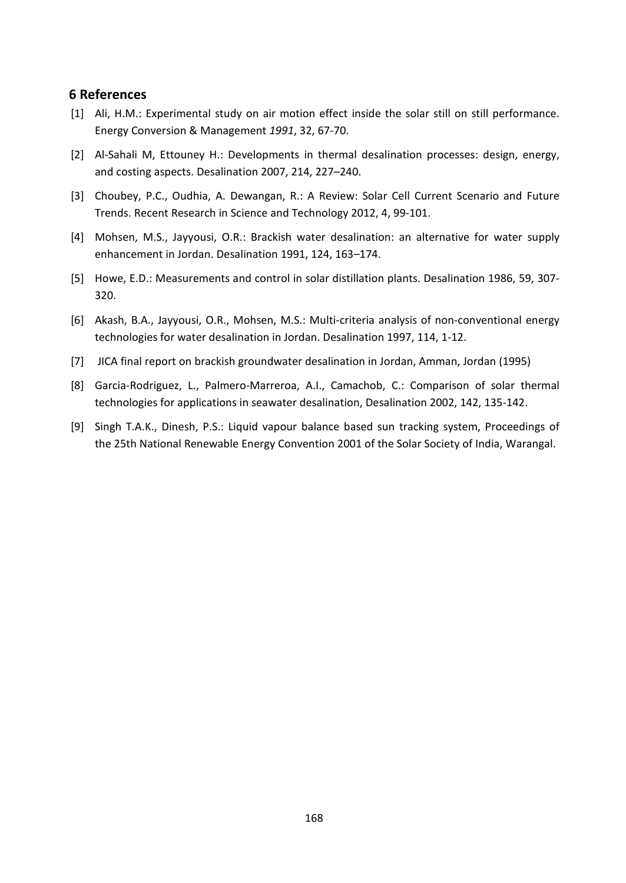#### **6 References**

- [1] Ali, H.M.: Experimental study on air motion effect inside the solar still on still performance. Energy Conversion & Management *1991*, 32, 67-70.
- [2] Al-Sahali M, Ettouney H.: Developments in thermal desalination processes: design, energy, and costing aspects. Desalination 2007, 214, 227–240.
- [3] Choubey, P.C., Oudhia, A. Dewangan, R.: A Review: Solar Cell Current Scenario and Future Trends. Recent Research in Science and Technology 2012, 4, 99-101.
- [4] [Mohsen,](http://www.sciencedirect.com/science/article/pii/S0011916499001010#!) M.S., [Jayyousi,](http://www.sciencedirect.com/science/article/pii/S0011916499001010#!) O.R.: Brackish water desalination: an alternative for water supply enhancement in Jordan. Desalination 1991, 124, 163–174.
- [5] Howe, E.D.: Measurements and control in solar distillation plants. Desalination 1986, 59, 307- 320.
- [6] Akash, B.A., [Jayyousi,](http://www.sciencedirect.com/science/article/pii/S0011916499001010#!) O.R., [Mohsen,](http://www.sciencedirect.com/science/article/pii/S0011916499001010#!) M.S.: Multi-criteria analysis of non-conventional energy technologies for water desalination in Jordan. Desalination 1997, 114, 1-12.
- [7] JICA final report on brackish groundwater desalination in Jordan, Amman, Jordan (1995)
- [8] Garcia-Rodriguez, L., Palmero-Marreroa, A.I., Camachob, C.: Comparison of solar thermal technologies for applications in seawater desalination, Desalination 2002, 142, 135-142.
- [9] Singh T.A.K., Dinesh, P.S.: Liquid vapour balance based sun tracking system, Proceedings of the 25th National Renewable Energy Convention 2001 of the Solar Society of India, Warangal.